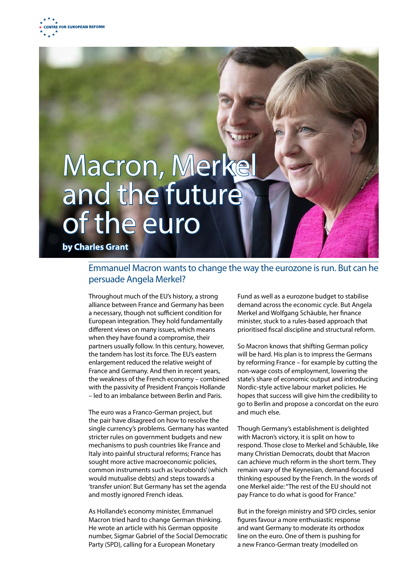## Macron, Merke and the future of the euro

**by Charles Grant**

## Emmanuel Macron wants to change the way the eurozone is run. But can he persuade Angela Merkel?

Throughout much of the EU's history, a strong alliance between France and Germany has been a necessary, though not sufficient condition for European integration. They hold fundamentally different views on many issues, which means when they have found a compromise, their partners usually follow. In this century, however, the tandem has lost its force. The EU's eastern enlargement reduced the relative weight of France and Germany. And then in recent years, the weakness of the French economy – combined with the passivity of President François Hollande – led to an imbalance between Berlin and Paris.

The euro was a Franco-German project, but the pair have disagreed on how to resolve the single currency's problems. Germany has wanted stricter rules on government budgets and new mechanisms to push countries like France and Italy into painful structural reforms; France has sought more active macroeconomic policies, common instruments such as 'eurobonds' (which would mutualise debts) and steps towards a 'transfer union'. But Germany has set the agenda and mostly ignored French ideas.

As Hollande's economy minister, Emmanuel Macron tried hard to change German thinking. He wrote an article with his German opposite number, Sigmar Gabriel of the Social Democratic Party (SPD), calling for a European Monetary

Fund as well as a eurozone budget to stabilise demand across the economic cycle. But Angela Merkel and Wolfgang Schäuble, her finance minister, stuck to a rules-based approach that prioritised fiscal discipline and structural reform.

So Macron knows that shifting German policy will be hard. His plan is to impress the Germans by reforming France – for example by cutting the non-wage costs of employment, lowering the state's share of economic output and introducing Nordic-style active labour market policies. He hopes that success will give him the credibility to go to Berlin and propose a concordat on the euro and much else.

Though Germany's establishment is delighted with Macron's victory, it is split on how to respond. Those close to Merkel and Schäuble, like many Christian Democrats, doubt that Macron can achieve much reform in the short term. They remain wary of the Keynesian, demand-focused thinking espoused by the French. In the words of one Merkel aide: "The rest of the EU should not pay France to do what is good for France."

But in the foreign ministry and SPD circles, senior figures favour a more enthusiastic response and want Germany to moderate its orthodox line on the euro. One of them is pushing for a new Franco-German treaty (modelled on